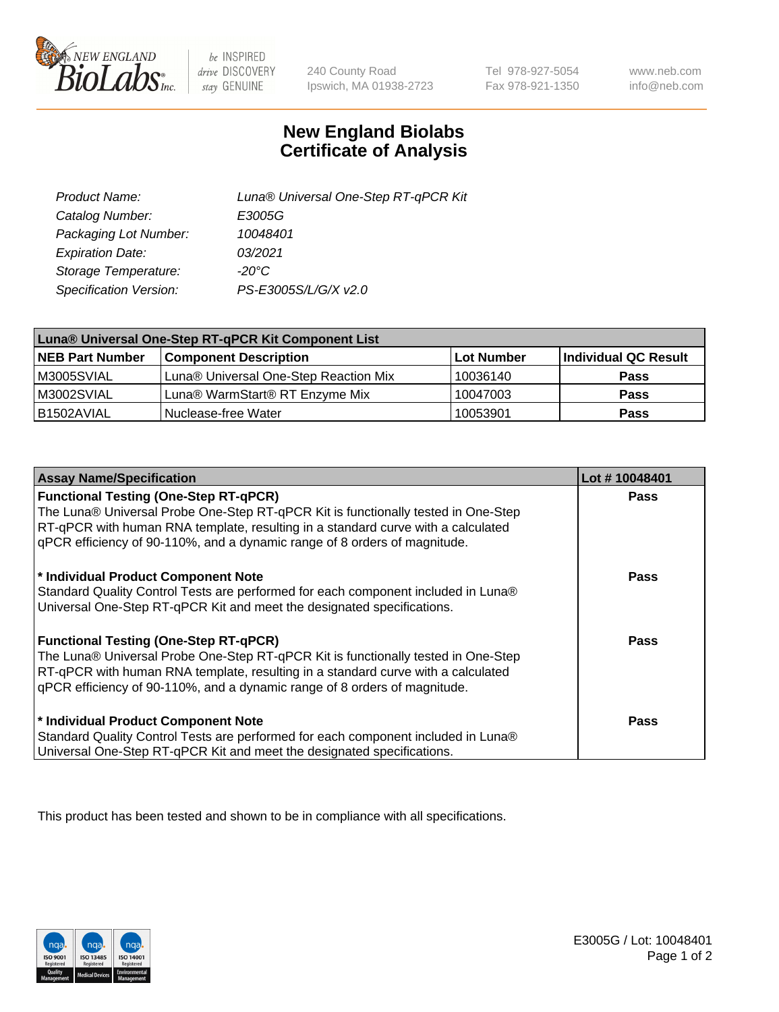

 $be$  INSPIRED drive DISCOVERY stay GENUINE

240 County Road Ipswich, MA 01938-2723

Tel 978-927-5054 Fax 978-921-1350

www.neb.com info@neb.com

## **New England Biolabs Certificate of Analysis**

| Product Name:           | Luna® Universal One-Step RT-qPCR Kit |
|-------------------------|--------------------------------------|
| Catalog Number:         | E3005G                               |
| Packaging Lot Number:   | 10048401                             |
| <b>Expiration Date:</b> | 03/2021                              |
| Storage Temperature:    | $-20^{\circ}$ C                      |
| Specification Version:  | PS-E3005S/L/G/X v2.0                 |

| Luna® Universal One-Step RT-qPCR Kit Component List |                                       |            |                      |  |
|-----------------------------------------------------|---------------------------------------|------------|----------------------|--|
| <b>NEB Part Number</b>                              | <b>Component Description</b>          | Lot Number | Individual QC Result |  |
| M3005SVIAL                                          | Luna® Universal One-Step Reaction Mix | 10036140   | <b>Pass</b>          |  |
| M3002SVIAL                                          | Luna® WarmStart® RT Enzyme Mix        | 10047003   | <b>Pass</b>          |  |
| B1502AVIAL                                          | Nuclease-free Water                   | 10053901   | <b>Pass</b>          |  |

| <b>Assay Name/Specification</b>                                                                                                                                                                                                                                                                    | Lot #10048401 |
|----------------------------------------------------------------------------------------------------------------------------------------------------------------------------------------------------------------------------------------------------------------------------------------------------|---------------|
| <b>Functional Testing (One-Step RT-qPCR)</b><br>The Luna® Universal Probe One-Step RT-qPCR Kit is functionally tested in One-Step                                                                                                                                                                  | <b>Pass</b>   |
| RT-qPCR with human RNA template, resulting in a standard curve with a calculated<br>gPCR efficiency of 90-110%, and a dynamic range of 8 orders of magnitude.                                                                                                                                      |               |
| * Individual Product Component Note<br>Standard Quality Control Tests are performed for each component included in Luna®<br>Universal One-Step RT-qPCR Kit and meet the designated specifications.                                                                                                 | Pass          |
| <b>Functional Testing (One-Step RT-qPCR)</b><br>The Luna® Universal Probe One-Step RT-qPCR Kit is functionally tested in One-Step<br>RT-qPCR with human RNA template, resulting in a standard curve with a calculated<br>gPCR efficiency of 90-110%, and a dynamic range of 8 orders of magnitude. | Pass          |
| * Individual Product Component Note<br>Standard Quality Control Tests are performed for each component included in Luna®<br>Universal One-Step RT-qPCR Kit and meet the designated specifications.                                                                                                 | <b>Pass</b>   |

This product has been tested and shown to be in compliance with all specifications.